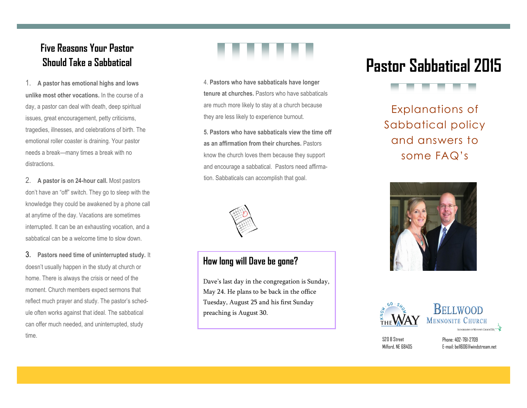# **Five Reasons Your Pastor Should Take a Sabbatical**

1. **A pastor has emotional highs and lows unlike most other vocations.** In the course of a day, a pastor can deal with death, deep spiritual issues, great encouragement, petty criticisms, tragedies, illnesses, and celebrations of birth. The emotional roller coaster is draining. Your pastor needs a break—many times a break with no distractions.

2. **A pastor is on 24-hour call.** Most pastors don't have an "off" switch. They go to sleep with the knowledge they could be awakened by a phone call at anytime of the day. Vacations are sometimes interrupted. It can be an exhausting vocation, and a sabbatical can be a welcome time to slow down.

3. **Pastors need time of uninterrupted study.** It doesn't usually happen in the study at church or home. There is always the crisis or need of the moment. Church members expect sermons that reflect much prayer and study. The pastor's schedule often works against that ideal. The sabbatical can offer much needed, and uninterrupted, study time.



4. **Pastors who have sabbaticals have longer tenure at churches.** Pastors who have sabbaticals are much more likely to stay at a church because they are less likely to experience burnout.

**5. Pastors who have sabbaticals view the time off as an affirmation from their churches.** Pastors know the church loves them because they support and encourage a sabbatical. Pastors need affirmation. Sabbaticals can accomplish that goal.



#### **How long will Dave be gone?**

Dave's last day in the congregation is Sunday, May 24. He plans to be back in the office Tuesday, August 25 and his first Sunday preaching is August 30.

# **Pastor Sabbatical 2015**



Explanations of Sabbatical policy and answers to some FAQ's







520 B Street Milford, NF 68405

Phone: 402-761-2709 E-mail: bell606@windstream.net